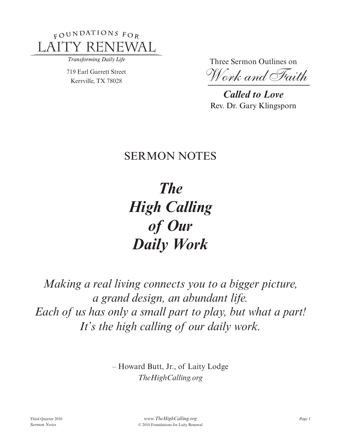

Transforming Daily Life

719 Earl Garrett Street Kerrville, TX 78028

Three Sermon Outlines on

*Work and Faith*

*Called to Love* Rev. Dr. Gary Klingsporn

## **SERMON NOTES**

*The High Calling of Our Daily Work*

*Making a real living connects you to a bigger picture, a grand design, an abundant life. Each of us has only a small part to play, but what a part! It's the high calling of our daily work.*

> – Howard Butt, Jr., of Laity Lodge *TheHighCalling.org*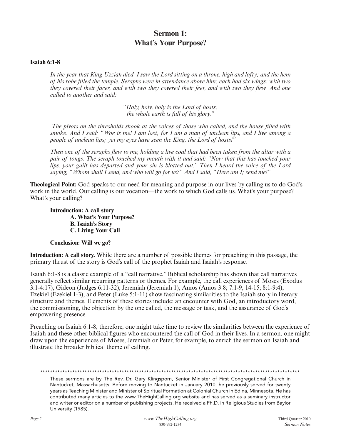## **Sermon 1: What's Your Purpose?**

## **Isaiah 6:1-8**

*In the year that King Uzziah died, I saw the Lord sitting on a throne, high and lofty; and the hem of his robe filled the temple. Seraphs were in attendance above him; each had six wings: with two they covered their faces, and with two they covered their feet, and with two they flew. And one called to another and said:* 

> *"Holy, holy, holy is the Lord of hosts; the whole earth is full of his glory."*

*The pivots on the thresholds shook at the voices of those who called, and the house filled with smoke. And I said: "Woe is me! I am lost, for I am a man of unclean lips, and I live among a people of unclean lips; yet my eyes have seen the King, the Lord of hosts!"* 

*Then one of the seraphs flew to me, holding a live coal that had been taken from the altar with a pair of tongs. The seraph touched my mouth with it and said: "Now that this has touched your lips, your guilt has departed and your sin is blotted out." Then I heard the voice of the Lord saying, "Whom shall I send, and who will go for us?" And I said, "Here am I; send me!"*

**Theological Point:** God speaks to our need for meaning and purpose in our lives by calling us to do God's work in the world. Our calling is our vocation—the work to which God calls us. What's your purpose? What's your calling?

**Introduction: A call story A. What's Your Purpose? B. Isaiah's Story C. Living Your Call**

**Conclusion: Will we go?**

**Introduction: A call story.** While there are a number of possible themes for preaching in this passage, the primary thrust of the story is God's call of the prophet Isaiah and Isaiah's response.

Isaiah 6:1-8 is a classic example of a "call narrative." Biblical scholarship has shown that call narratives generally reflect similar recurring patterns or themes. For example, the call experiences of Moses (Exodus 3:1-4:17), Gideon (Judges 6:11-32), Jeremiah (Jeremiah 1), Amos (Amos 3:8; 7:1-9, 14-15; 8:1-9:4), Ezekiel (Ezekiel 1-3), and Peter (Luke 5:1-11) show fascinating similarities to the Isaiah story in literary structure and themes. Elements of these stories include: an encounter with God, an introductory word, the commissioning, the objection by the one called, the message or task, and the assurance of God's empowering presence.

Preaching on Isaiah 6:1-8, therefore, one might take time to review the similarities between the experience of Isaiah and these other biblical figures who encountered the call of God in their lives. In a sermon, one might draw upon the experiences of Moses, Jeremiah or Peter, for example, to enrich the sermon on Isaiah and illustrate the broader biblical theme of calling.

\*\*\*\*\*\*\*\*\*\*\*\*\*\*\*\*\*\*\*\*\*\*\*\*\*\*\*\*\*\*\*\*\*\*\*\*\*\*\*\*\*\*\*\*\*\*\*\*\*\*\*\*\*\*\*\*\*\*\*\*\*\*\*\*\*\*\*\*\*\*\*\*\*\*\*\*\*\*\*\*\*\*\*\*\*\*\*\*\*\*\*\*\*\*\*\*\*\*\*\*\*\*\*\*\*

These sermons are by The Rev. Dr. Gary Klingsporn, Senior Minister of First Congregational Church in Nantucket, Massachusetts. Before moving to Nantucket in January 2010, he previously served for twenty years as Teaching Minister and Minister of Spiritual Formation at Colonial Church in Edina, Minnesota. He has contributed many articles to the www.TheHighCalling.org website and has served as a seminary instructor and writer or editor on a number of publishing projects. He received a Ph.D. in Religious Studies from Baylor University (1985).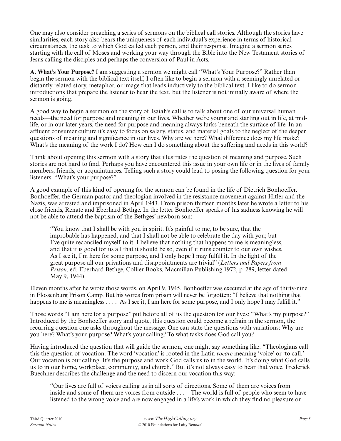One may also consider preaching a series of sermons on the biblical call stories. Although the stories have similarities, each story also bears the uniqueness of each individual's experience in terms of historical circumstances, the task to which God called each person, and their response. Imagine a sermon series starting with the call of Moses and working your way through the Bible into the New Testament stories of Jesus calling the disciples and perhaps the conversion of Paul in Acts.

**A. What's Your Purpose?** I am suggesting a sermon we might call "What's Your Purpose?" Rather than begin the sermon with the biblical text itself, I often like to begin a sermon with a seemingly unrelated or distantly related story, metaphor, or image that leads inductively to the biblical text. I like to do sermon introductions that prepare the listener to hear the text, but the listener is not initially aware of where the sermon is going.

A good way to begin a sermon on the story of Isaiah's call is to talk about one of our universal human needs—the need for purpose and meaning in our lives. Whether we're young and starting out in life, at midlife, or in our later years, the need for purpose and meaning always lurks beneath the surface of life. In an affluent consumer culture it's easy to focus on salary, status, and material goals to the neglect of the deeper questions of meaning and significance in our lives. Why are we here? What difference does my life make? What's the meaning of the work I do? How can I do something about the suffering and needs in this world?

Think about opening this sermon with a story that illustrates the question of meaning and purpose. Such stories are not hard to find. Perhaps you have encountered this issue in your own life or in the lives of family members, friends, or acquaintances. Telling such a story could lead to posing the following question for your listeners: "What's your purpose?"

A good example of this kind of opening for the sermon can be found in the life of Dietrich Bonhoeffer. Bonhoeffer, the German pastor and theologian involved in the resistance movement against Hitler and the Nazis, was arrested and imprisoned in April 1943. From prison thirteen months later he wrote a letter to his close friends, Renate and Eberhard Bethge. In the letter Bonhoeffer speaks of his sadness knowing he will not be able to attend the baptism of the Bethges' newborn son:

"You know that I shall be with you in spirit. It's painful to me, to be sure, that the improbable has happened, and that I shall not be able to celebrate the day with you; but I've quite reconciled myself to it. I believe that nothing that happens to me is meaningless, and that it is good for us all that it should be so, even if it runs counter to our own wishes. As I see it, I'm here for some purpose, and I only hope I may fulfill it. In the light of the great purpose all our privations and disappointments are trivial" (*Letters and Papers from Prison*, ed. Eberhard Bethge, Collier Books, Macmillan Publishing 1972, p. 289, letter dated May 9, 1944).

Eleven months after he wrote those words, on April 9, 1945, Bonhoeffer was executed at the age of thirty-nine in Flossenburg Prison Camp. But his words from prison will never be forgotten: "I believe that nothing that happens to me is meaningless . . . . As I see it, I am here for some purpose, and I only hope I may fulfill it."

Those words "I am here for a purpose" put before all of us the question for our lives: "What's my purpose?" Introduced by the Bonhoeffer story and quote, this question could become a refrain in the sermon, the recurring question one asks throughout the message. One can state the questions with variations: Why are you here? What's your purpose? What's your calling? To what tasks does God call you?

Having introduced the question that will guide the sermon, one might say something like: "Theologians call this the question of vocation. The word 'vocation' is rooted in the Latin *vocare* meaning 'voice' or 'to call.' Our vocation is our calling. It's the purpose and work God calls us to in the world. It's doing what God calls us to in our home, workplace, community, and church." But it's not always easy to hear that voice. Frederick Buechner describes the challenge and the need to discern our vocation this way:

"Our lives are full of voices calling us in all sorts of directions. Some of them are voices from inside and some of them are voices from outside . . . . The world is full of people who seem to have listened to the wrong voice and are now engaged in a life's work in which they find no pleasure or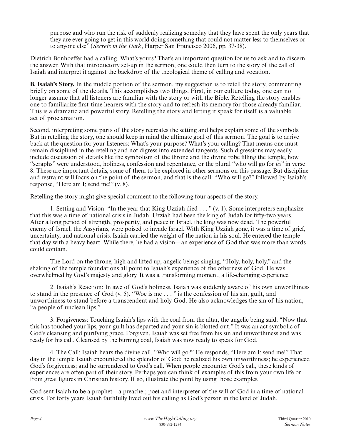purpose and who run the risk of suddenly realizing someday that they have spent the only years that they are ever going to get in this world doing something that could not matter less to themselves or to anyone else" (*Secrets in the Dark*, Harper San Francisco 2006, pp. 37-38).

Dietrich Bonhoeffer had a calling. What's yours? That's an important question for us to ask and to discern the answer. With that introductory set-up in the sermon, one could then turn to the story of the call of Isaiah and interpret it against the backdrop of the theological theme of calling and vocation.

**B. Isaiah's Story.** In the middle portion of the sermon, my suggestion is to retell the story, commenting briefly on some of the details. This accomplishes two things. First, in our culture today, one can no longer assume that all listeners are familiar with the story or with the Bible. Retelling the story enables one to familiarize first-time hearers with the story and to refresh its memory for those already familiar. This is a dramatic and powerful story. Retelling the story and letting it speak for itself is a valuable act of proclamation.

Second, interpreting some parts of the story recreates the setting and helps explain some of the symbols. But in retelling the story, one should keep in mind the ultimate goal of this sermon. The goal is to arrive back at the question for your listeners: What's your purpose? What's your calling? That means one must remain disciplined in the retelling and not digress into extended tangents. Such digressions may easily include discussion of details like the symbolism of the throne and the divine robe filling the temple, how "seraphs" were understood, holiness, confession and repentance, or the plural "who will go for *us*" in verse 8. These are important details, some of them to be explored in other sermons on this passage. But discipline and restraint will focus on the point of the sermon, and that is the call: "Who will go?" followed by Isaiah's response, "Here am I; send me!" (v. 8).

Retelling the story might give special comment to the following four aspects of the story.

1. Setting and Vision: "In the year that King Uzziah died . . . " (v. 1). Some interpreters emphasize that this was a time of national crisis in Judah. Uzziah had been the king of Judah for fifty-two years. After a long period of strength, prosperity, and peace in Israel, the king was now dead. The powerful enemy of Israel, the Assyrians, were poised to invade Israel. With King Uzziah gone, it was a time of grief, uncertainty, and national crisis. Isaiah carried the weight of the nation in his soul. He entered the temple that day with a heavy heart. While there, he had a vision—an experience of God that was more than words could contain.

The Lord on the throne, high and lifted up, angelic beings singing, "Holy, holy, holy," and the shaking of the temple foundations all point to Isaiah's experience of the otherness of God. He was overwhelmed by God's majesty and glory. It was a transforming moment, a life-changing experience.

2. Isaiah's Reaction: In awe of God's holiness, Isaiah was suddenly aware of his own unworthiness to stand in the presence of God (v. 5). "Woe is me . . . " is the confession of his sin, guilt, and unworthiness to stand before a transcendent and holy God. He also acknowledges the sin of his nation, "a people of unclean lips."

3. Forgiveness: Touching Isaiah's lips with the coal from the altar, the angelic being said, "Now that this has touched your lips, your guilt has departed and your sin is blotted out." It was an act symbolic of God's cleansing and purifying grace. Forgiven, Isaiah was set free from his sin and unworthiness and was ready for his call. Cleansed by the burning coal, Isaiah was now ready to speak for God.

4. The Call: Isaiah hears the divine call, "Who will go?" He responds, "Here am I; send me!" That day in the temple Isaiah encountered the splendor of God; he realized his own unworthiness; he experienced God's forgiveness; and he surrendered to God's call. When people encounter God's call, these kinds of experiences are often part of their story. Perhaps you can think of examples of this from your own life or from great figures in Christian history. If so, illustrate the point by using those examples.

God sent Isaiah to be a prophet—a preacher, poet and interpreter of the will of God in a time of national crisis. For forty years Isaiah faithfully lived out his calling as God's person in the land of Judah.